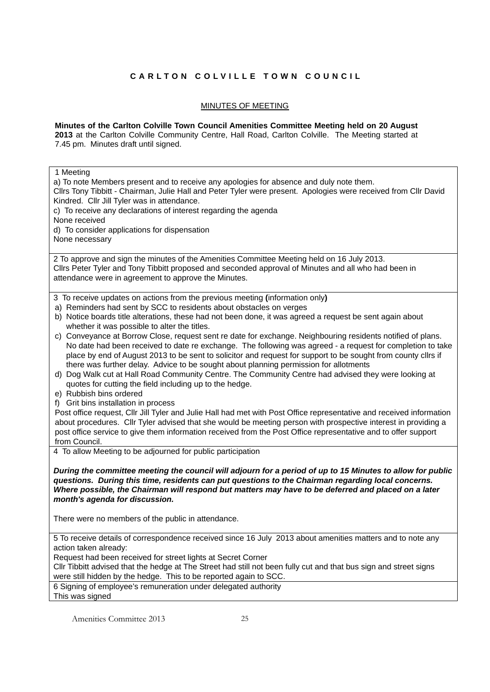## **CARLTON COLVILLE TOWN COUNCIL**

## MINUTES OF MEETING

## **Minutes of the Carlton Colville Town Council Amenities Committee Meeting held on 20 August 2013** at the Carlton Colville Community Centre, Hall Road, Carlton Colville. The Meeting started at 7.45 pm. Minutes draft until signed.

1 Meeting a) To note Members present and to receive any apologies for absence and duly note them. Cllrs Tony Tibbitt - Chairman, Julie Hall and Peter Tyler were present. Apologies were received from Cllr David Kindred. Cllr Jill Tyler was in attendance. c) To receive any declarations of interest regarding the agenda None received d) To consider applications for dispensation None necessary 2 To approve and sign the minutes of the Amenities Committee Meeting held on 16 July 2013. Cllrs Peter Tyler and Tony Tibbitt proposed and seconded approval of Minutes and all who had been in attendance were in agreement to approve the Minutes. 3 To receive updates on actions from the previous meeting **(**information only**)**  a) Reminders had sent by SCC to residents about obstacles on verges b) Notice boards title alterations, these had not been done, it was agreed a request be sent again about whether it was possible to alter the titles. c) Conveyance at Borrow Close, request sent re date for exchange. Neighbouring residents notified of plans. No date had been received to date re exchange. The following was agreed - a request for completion to take place by end of August 2013 to be sent to solicitor and request for support to be sought from county cllrs if there was further delay. Advice to be sought about planning permission for allotments d) Dog Walk cut at Hall Road Community Centre. The Community Centre had advised they were looking at quotes for cutting the field including up to the hedge. e) Rubbish bins ordered f) Grit bins installation in process Post office request, Cllr Jill Tyler and Julie Hall had met with Post Office representative and received information about procedures. Cllr Tyler advised that she would be meeting person with prospective interest in providing a post office service to give them information received from the Post Office representative and to offer support from Council. 4 To allow Meeting to be adjourned for public participation *During the committee meeting the council will adjourn for a period of up to 15 Minutes to allow for public questions. During this time, residents can put questions to the Chairman regarding local concerns. Where possible, the Chairman will respond but matters may have to be deferred and placed on a later month's agenda for discussion.*  There were no members of the public in attendance. 5 To receive details of correspondence received since 16 July 2013 about amenities matters and to note any action taken already: Request had been received for street lights at Secret Corner Cllr Tibbitt advised that the hedge at The Street had still not been fully cut and that bus sign and street signs were still hidden by the hedge. This to be reported again to SCC. 6 Signing of employee's remuneration under delegated authority This was signed